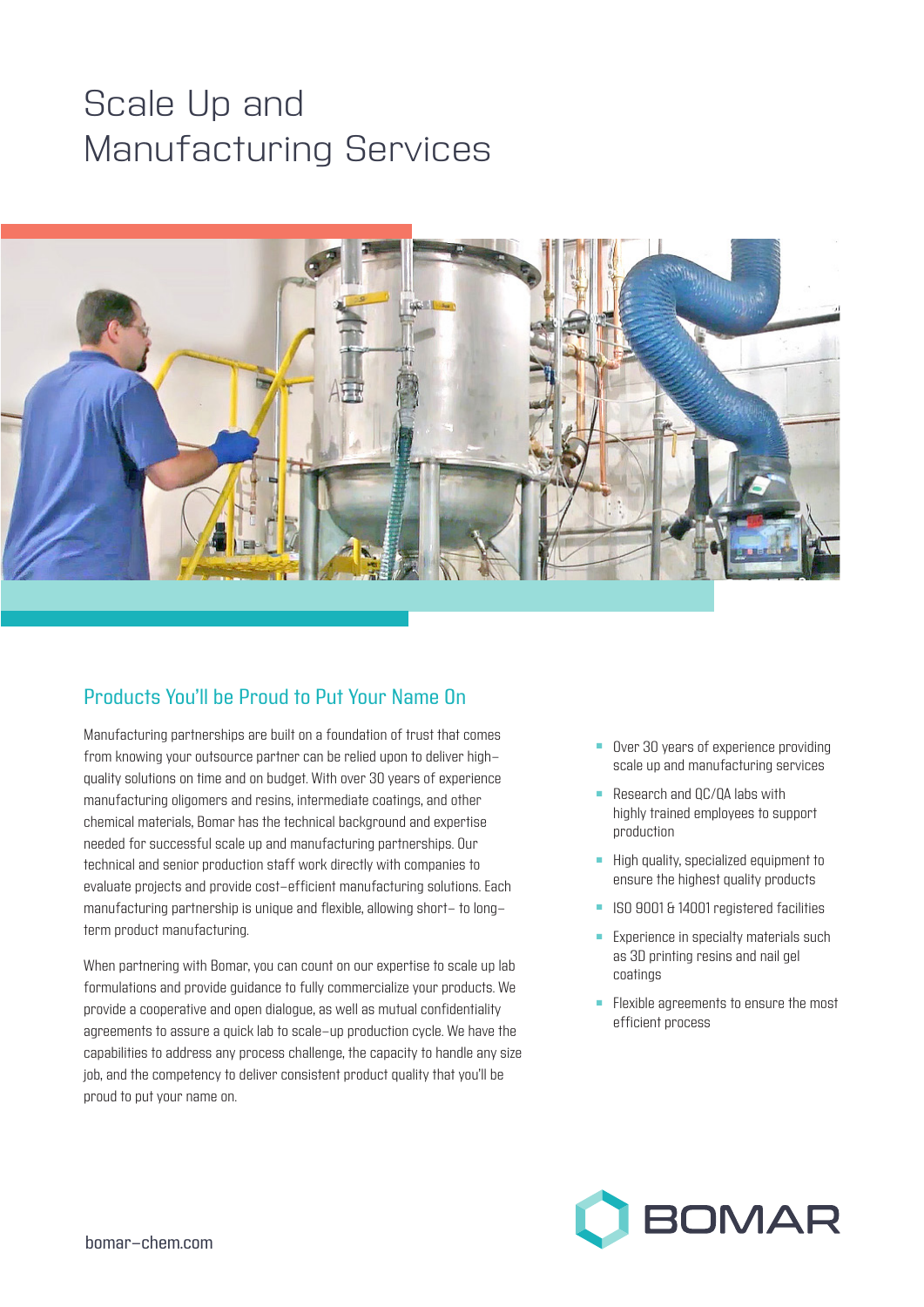# Scale Up and Manufacturing Services



# Products You'll be Proud to Put Your Name On

Manufacturing partnerships are built on a foundation of trust that comes from knowing your outsource partner can be relied upon to deliver highquality solutions on time and on budget. With over 30 years of experience manufacturing oligomers and resins, intermediate coatings, and other chemical materials, Bomar has the technical background and expertise needed for successful scale up and manufacturing partnerships. Our technical and senior production staff work directly with companies to evaluate projects and provide cost-efficient manufacturing solutions. Each manufacturing partnership is unique and flexible, allowing short- to longterm product manufacturing.

When partnering with Bomar, you can count on our expertise to scale up lab formulations and provide guidance to fully commercialize your products. We provide a cooperative and open dialogue, as well as mutual confidentiality agreements to assure a quick lab to scale-up production cycle. We have the capabilities to address any process challenge, the capacity to handle any size job, and the competency to deliver consistent product quality that you'll be proud to put your name on.

- Over 30 years of experience providing scale up and manufacturing services
- Research and  $OC/OA$  labs with highly trained employees to support production
- $\blacksquare$  High quality, specialized equipment to ensure the highest quality products
- **n** ISO 9001 & 14001 registered facilities
- **Experience in specialty materials such** as 3D printing resins and nail gel coatings
- **Flexible agreements to ensure the most** efficient process